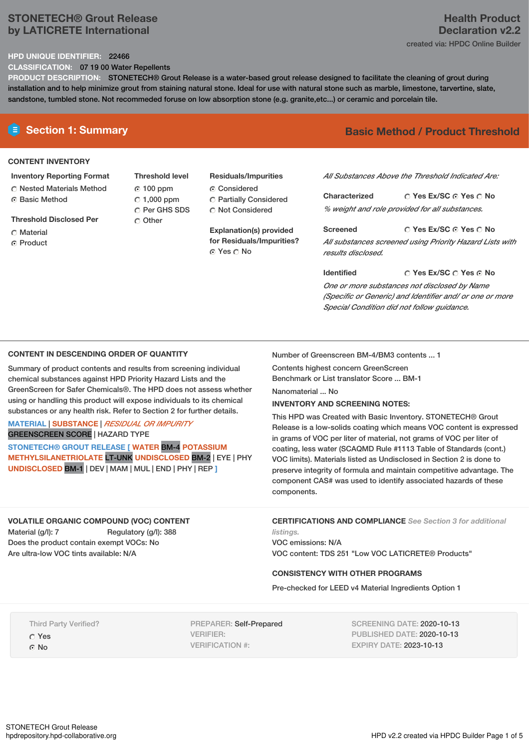# **STONETECH® Grout Release by LATICRETE International**

### **HPD UNIQUE IDENTIFIER:** 22466

**CLASSIFICATION:** 07 19 00 Water Repellents

**PRODUCT DESCRIPTION:** STONETECH® Grout Release is a water-based grout release designed to facilitate the cleaning of grout during installation and to help minimize grout from staining natural stone. Ideal for use with natural stone such as marble, limestone, tarvertine, slate, sandstone, tumbled stone. Not recommeded foruse on low absorption stone (e.g. granite,etc...) or ceramic and porcelain tile.

### **CONTENT INVENTORY**

### **Inventory Reporting Format**

**C** Nested Materials Method ⊙ Basic Method

**Threshold Disclosed Per**

- C Material
- C Product

**Threshold level** 100 ppm  $\degree$  1,000 ppm C Per GHS SDS C Other

# **Residuals/Impurities** Considered Partially Considered

C Not Considered **Explanation(s) provided for Residuals/Impurities?**

© Yes ○ No

# **E** Section 1: Summary **Basic Method / Product Threshold**

*All Substances Above the Threshold Indicated Are:*

**Yes Ex/SC Yes No Characterized** *% weight and role provided for all substances.*

**Yes Ex/SC Yes No Screened** *All substances screened using Priority Hazard Lists with results disclosed.*

**Yes Ex/SC Yes No Identified** *One or more substances not disclosed by Name (Specific or Generic) and Identifier and/ or one or more Special Condition did not follow guidance.*

### **CONTENT IN DESCENDING ORDER OF QUANTITY**

Summary of product contents and results from screening individual chemical substances against HPD Priority Hazard Lists and the GreenScreen for Safer Chemicals®. The HPD does not assess whether using or handling this product will expose individuals to its chemical substances or any health risk. Refer to Section 2 for further details.

## **MATERIAL** | **SUBSTANCE** | *RESIDUAL OR IMPURITY* GREENSCREEN SCORE | HAZARD TYPE

**STONETECH® GROUT RELEASE [ WATER** BM-4 **POTASSIUM METHYLSILANETRIOLATE** LT-UNK **UNDISCLOSED** BM-2 | EYE | PHY **UNDISCLOSED** BM-1 | DEV | MAM | MUL | END | PHY | REP **]**

#### Number of Greenscreen BM-4/BM3 contents ... 1

Contents highest concern GreenScreen Benchmark or List translator Score ... BM-1

Nanomaterial ... No

### **INVENTORY AND SCREENING NOTES:**

This HPD was Created with Basic Inventory. STONETECH® Grout Release is a low-solids coating which means VOC content is expressed in grams of VOC per liter of material, not grams of VOC per liter of coating, less water (SCAQMD Rule #1113 Table of Standards (cont.) VOC limits). Materials listed as Undisclosed in Section 2 is done to preserve integrity of formula and maintain competitive advantage. The component CAS# was used to identify associated hazards of these components.

# **VOLATILE ORGANIC COMPOUND (VOC) CONTENT**

Material (g/l): 7 Regulatory (g/l): 388 Does the product contain exempt VOCs: No Are ultra-low VOC tints available: N/A

**CERTIFICATIONS AND COMPLIANCE** *See Section 3 for additional listings.*

VOC emissions: N/A VOC content: TDS 251 "Low VOC LATICRETE® Products"

### **CONSISTENCY WITH OTHER PROGRAMS**

Pre-checked for LEED v4 Material Ingredients Option 1

Third Party Verified?

Yes ⊙ No

PREPARER: Self-Prepared VERIFIER: VERIFICATION #:

SCREENING DATE: 2020-10-13 PUBLISHED DATE: 2020-10-13 EXPIRY DATE: 2023-10-13

# **Health Product Declaration v2.2**

created via: HPDC Online Builder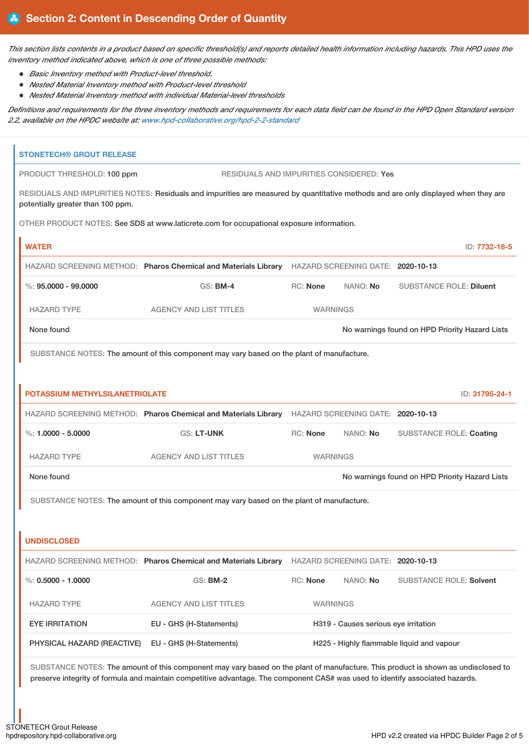This section lists contents in a product based on specific threshold(s) and reports detailed health information including hazards. This HPD uses the *inventory method indicated above, which is one of three possible methods:*

- *Basic Inventory method with Product-level threshold.*
- *Nested Material Inventory method with Product-level threshold*
- *Nested Material Inventory method with individual Material-level thresholds*

Definitions and requirements for the three inventory methods and requirements for each data field can be found in the HPD Open Standard version *2.2, available on the HPDC website at: [www.hpd-collaborative.org/hpd-2-2-standard](https://www.hpd-collaborative.org/hpd-2-2-standard)*

| <b>STONETECH® GROUT RELEASE</b>   |                                                                                                                                                                                                                                                                    |                                                |          |                                                |
|-----------------------------------|--------------------------------------------------------------------------------------------------------------------------------------------------------------------------------------------------------------------------------------------------------------------|------------------------------------------------|----------|------------------------------------------------|
| PRODUCT THRESHOLD: 100 ppm        | RESIDUALS AND IMPURITIES CONSIDERED: Yes                                                                                                                                                                                                                           |                                                |          |                                                |
| potentially greater than 100 ppm. | RESIDUALS AND IMPURITIES NOTES: Residuals and impurities are measured by quantitative methods and are only displayed when they are                                                                                                                                 |                                                |          |                                                |
|                                   | OTHER PRODUCT NOTES: See SDS at www.laticrete.com for occupational exposure information.                                                                                                                                                                           |                                                |          |                                                |
| <b>WATER</b>                      |                                                                                                                                                                                                                                                                    |                                                |          | ID: 7732-18-5                                  |
|                                   | HAZARD SCREENING METHOD: Pharos Chemical and Materials Library HAZARD SCREENING DATE: 2020-10-13                                                                                                                                                                   |                                                |          |                                                |
| $\%$ : 95.0000 - 99.0000          | <b>GS: BM-4</b>                                                                                                                                                                                                                                                    | RC: None                                       | NANO: No | <b>SUBSTANCE ROLE: Diluent</b>                 |
| <b>HAZARD TYPE</b>                | <b>AGENCY AND LIST TITLES</b>                                                                                                                                                                                                                                      | <b>WARNINGS</b>                                |          |                                                |
| None found                        |                                                                                                                                                                                                                                                                    |                                                |          | No warnings found on HPD Priority Hazard Lists |
|                                   | SUBSTANCE NOTES: The amount of this component may vary based on the plant of manufacture.                                                                                                                                                                          |                                                |          |                                                |
|                                   |                                                                                                                                                                                                                                                                    |                                                |          |                                                |
| POTASSIUM METHYLSILANETRIOLATE    |                                                                                                                                                                                                                                                                    |                                                |          | ID: 31795-24-1                                 |
|                                   | HAZARD SCREENING METHOD: Pharos Chemical and Materials Library HAZARD SCREENING DATE: 2020-10-13                                                                                                                                                                   |                                                |          |                                                |
| %: $1.0000 - 5.0000$              | <b>GS: LT-UNK</b>                                                                                                                                                                                                                                                  | RC: None                                       | NANO: No | <b>SUBSTANCE ROLE: Coating</b>                 |
| <b>HAZARD TYPE</b>                | <b>AGENCY AND LIST TITLES</b>                                                                                                                                                                                                                                      | <b>WARNINGS</b>                                |          |                                                |
| None found                        |                                                                                                                                                                                                                                                                    | No warnings found on HPD Priority Hazard Lists |          |                                                |
|                                   | SUBSTANCE NOTES: The amount of this component may vary based on the plant of manufacture.                                                                                                                                                                          |                                                |          |                                                |
|                                   |                                                                                                                                                                                                                                                                    |                                                |          |                                                |
| <b>UNDISCLOSED</b>                |                                                                                                                                                                                                                                                                    |                                                |          |                                                |
|                                   | HAZARD SCREENING METHOD: Pharos Chemical and Materials Library HAZARD SCREENING DATE: 2020-10-13                                                                                                                                                                   |                                                |          |                                                |
| %: $0.5000 - 1.0000$              | GS: <b>BM-2</b>                                                                                                                                                                                                                                                    | <b>RC: None</b>                                | NANO: No | <b>SUBSTANCE ROLE: Solvent</b>                 |
| <b>HAZARD TYPE</b>                | <b>AGENCY AND LIST TITLES</b>                                                                                                                                                                                                                                      | <b>WARNINGS</b>                                |          |                                                |
| <b>EYE IRRITATION</b>             | EU - GHS (H-Statements)                                                                                                                                                                                                                                            | H319 - Causes serious eye irritation           |          |                                                |
| PHYSICAL HAZARD (REACTIVE)        | EU - GHS (H-Statements)                                                                                                                                                                                                                                            | H225 - Highly flammable liquid and vapour      |          |                                                |
|                                   | SUBSTANCE NOTES: The amount of this component may vary based on the plant of manufacture. This product is shown as undisclosed to<br>preserve integrity of formula and maintain competitive advantage. The component CAS# was used to identify associated hazards. |                                                |          |                                                |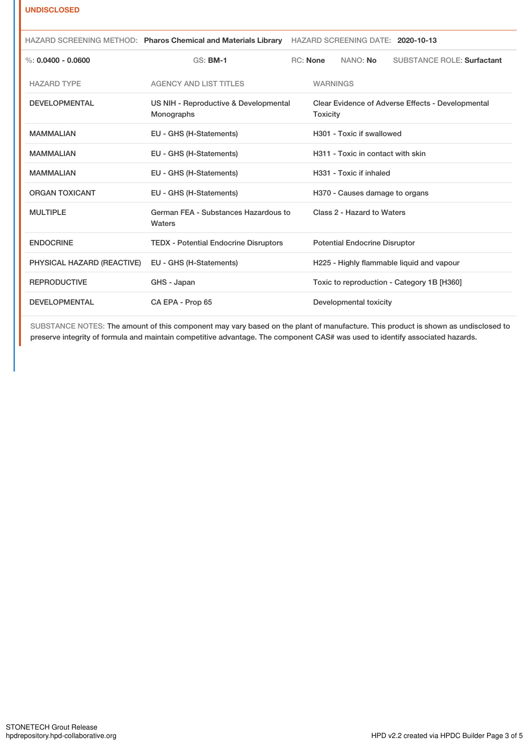### **UNDISCLOSED**

|                            |                                                     | HAZARD SCREENING METHOD: Pharos Chemical and Materials Library HAZARD SCREENING DATE: 2020-10-13 |                                                                      |                                      |                                            |  |
|----------------------------|-----------------------------------------------------|--------------------------------------------------------------------------------------------------|----------------------------------------------------------------------|--------------------------------------|--------------------------------------------|--|
| %: $0.0400 - 0.0600$       | <b>GS: BM-1</b>                                     |                                                                                                  | <b>RC:</b> None                                                      | NANO: No                             | <b>SUBSTANCE ROLE: Surfactant</b>          |  |
| <b>HAZARD TYPE</b>         | <b>AGENCY AND LIST TITLES</b>                       |                                                                                                  | <b>WARNINGS</b>                                                      |                                      |                                            |  |
| <b>DEVELOPMENTAL</b>       | US NIH - Reproductive & Developmental<br>Monographs |                                                                                                  | Clear Evidence of Adverse Effects - Developmental<br><b>Toxicity</b> |                                      |                                            |  |
| <b>MAMMALIAN</b>           | EU - GHS (H-Statements)                             |                                                                                                  |                                                                      | H301 - Toxic if swallowed            |                                            |  |
| <b>MAMMALIAN</b>           | EU - GHS (H-Statements)                             |                                                                                                  |                                                                      | H311 - Toxic in contact with skin    |                                            |  |
| <b>MAMMALIAN</b>           | EU - GHS (H-Statements)                             |                                                                                                  |                                                                      | H331 - Toxic if inhaled              |                                            |  |
| <b>ORGAN TOXICANT</b>      | EU - GHS (H-Statements)                             |                                                                                                  |                                                                      | H370 - Causes damage to organs       |                                            |  |
| <b>MULTIPLE</b>            | German FEA - Substances Hazardous to<br>Waters      |                                                                                                  |                                                                      | Class 2 - Hazard to Waters           |                                            |  |
| <b>ENDOCRINE</b>           | <b>TEDX - Potential Endocrine Disruptors</b>        |                                                                                                  |                                                                      | <b>Potential Endocrine Disruptor</b> |                                            |  |
| PHYSICAL HAZARD (REACTIVE) | EU - GHS (H-Statements)                             |                                                                                                  |                                                                      |                                      | H225 - Highly flammable liquid and vapour  |  |
| <b>REPRODUCTIVE</b>        | GHS - Japan                                         |                                                                                                  |                                                                      |                                      | Toxic to reproduction - Category 1B [H360] |  |
| <b>DEVELOPMENTAL</b>       | CA EPA - Prop 65                                    |                                                                                                  | Developmental toxicity                                               |                                      |                                            |  |

SUBSTANCE NOTES: The amount of this component may vary based on the plant of manufacture. This product is shown as undisclosed to preserve integrity of formula and maintain competitive advantage. The component CAS# was used to identify associated hazards.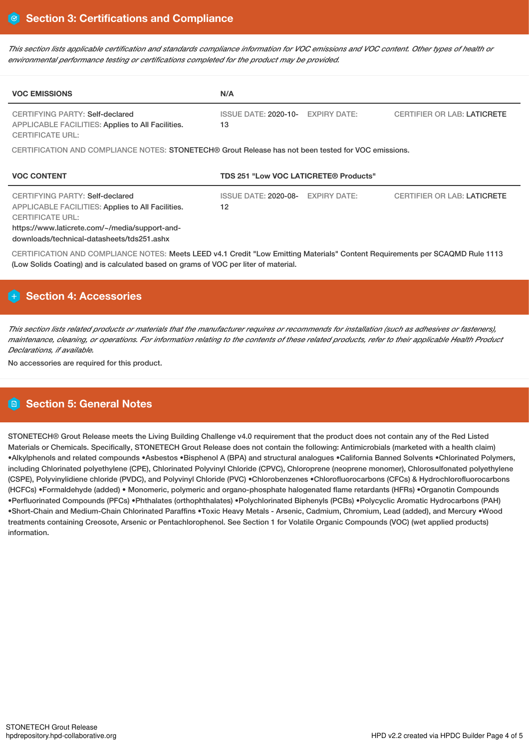This section lists applicable certification and standards compliance information for VOC emissions and VOC content. Other types of health or *environmental performance testing or certifications completed for the product may be provided.*

| <b>VOC EMISSIONS</b>                                                                                                          | N/A                                                      |                                    |  |  |  |  |
|-------------------------------------------------------------------------------------------------------------------------------|----------------------------------------------------------|------------------------------------|--|--|--|--|
| <b>CERTIFYING PARTY: Self-declared</b><br><b>APPLICABLE FACILITIES: Applies to All Facilities.</b><br><b>CERTIFICATE URL:</b> | ISSUE DATE: 2020-10-<br><b>EXPIRY DATE:</b><br>13        | <b>CERTIFIER OR LAB: LATICRETE</b> |  |  |  |  |
| CERTIFICATION AND COMPLIANCE NOTES: STONETECH® Grout Release has not been tested for VOC emissions.                           |                                                          |                                    |  |  |  |  |
| <b>VOC CONTENT</b>                                                                                                            | TDS 251 "Low VOC LATICRETE® Products"                    |                                    |  |  |  |  |
| <b>CERTIFYING PARTY: Self-declared</b><br><b>APPLICABLE FACILITIES: Applies to All Facilities.</b><br><b>CERTIFICATE URL:</b> | <b>ISSUE DATE: 2020-08-</b><br><b>EXPIRY DATE:</b><br>12 | <b>CERTIFIER OR LAB: LATICRETE</b> |  |  |  |  |
| https://www.laticrete.com/~/media/support-and-<br>downloads/technical-datasheets/tds251.ashx                                  |                                                          |                                    |  |  |  |  |

# **Section 4: Accessories**

This section lists related products or materials that the manufacturer requires or recommends for installation (such as adhesives or fasteners), maintenance, cleaning, or operations. For information relating to the contents of these related products, refer to their applicable Health Product *Declarations, if available.*

No accessories are required for this product.

# **Section 5: General Notes**

STONETECH® Grout Release meets the Living Building Challenge v4.0 requirement that the product does not contain any of the Red Listed Materials or Chemicals. Specifically, STONETECH Grout Release does not contain the following: Antimicrobials (marketed with a health claim) •Alkylphenols and related compounds •Asbestos •Bisphenol A (BPA) and structural analogues •California Banned Solvents •Chlorinated Polymers, including Chlorinated polyethylene (CPE), Chlorinated Polyvinyl Chloride (CPVC), Chloroprene (neoprene monomer), Chlorosulfonated polyethylene (CSPE), Polyvinylidiene chloride (PVDC), and Polyvinyl Chloride (PVC) •Chlorobenzenes •Chlorofluorocarbons (CFCs) & Hydrochlorofluorocarbons (HCFCs) •Formaldehyde (added) • Monomeric, polymeric and organo-phosphate halogenated flame retardants (HFRs) •Organotin Compounds •Perfluorinated Compounds (PFCs) •Phthalates (orthophthalates) •Polychlorinated Biphenyls (PCBs) •Polycyclic Aromatic Hydrocarbons (PAH) •Short-Chain and Medium-Chain Chlorinated Paraffins •Toxic Heavy Metals - Arsenic, Cadmium, Chromium, Lead (added), and Mercury •Wood treatments containing Creosote, Arsenic or Pentachlorophenol. See Section 1 for Volatile Organic Compounds (VOC) (wet applied products) information.